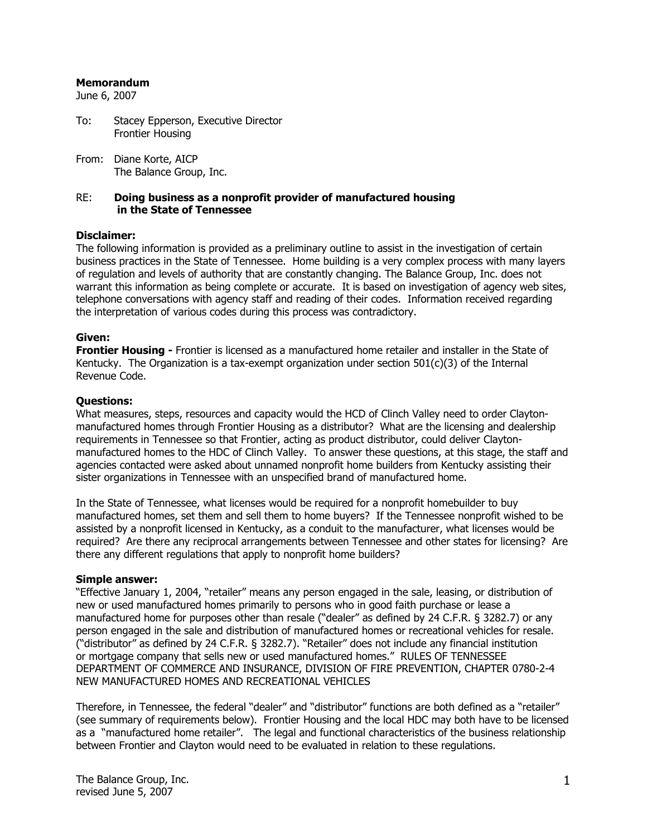#### **Memorandum**

June 6, 2007

- To: Stacey Epperson, Executive Director Frontier Housing
- From: Diane Korte, AICP The Balance Group, Inc.

#### RE: **Doing business as a nonprofit provider of manufactured housing in the State of Tennessee**

#### **Disclaimer:**

The following information is provided as a preliminary outline to assist in the investigation of certain business practices in the State of Tennessee. Home building is a very complex process with many layers of regulation and levels of authority that are constantly changing. The Balance Group, Inc. does not warrant this information as being complete or accurate. It is based on investigation of agency web sites, telephone conversations with agency staff and reading of their codes. Information received regarding the interpretation of various codes during this process was contradictory.

#### **Given:**

**Frontier Housing -** Frontier is licensed as a manufactured home retailer and installer in the State of Kentucky. The Organization is a tax-exempt organization under section  $501(c)(3)$  of the Internal Revenue Code.

#### **Questions:**

What measures, steps, resources and capacity would the HCD of Clinch Valley need to order Claytonmanufactured homes through Frontier Housing as a distributor? What are the licensing and dealership requirements in Tennessee so that Frontier, acting as product distributor, could deliver Claytonmanufactured homes to the HDC of Clinch Valley. To answer these questions, at this stage, the staff and agencies contacted were asked about unnamed nonprofit home builders from Kentucky assisting their sister organizations in Tennessee with an unspecified brand of manufactured home.

In the State of Tennessee, what licenses would be required for a nonprofit homebuilder to buy manufactured homes, set them and sell them to home buyers? If the Tennessee nonprofit wished to be assisted by a nonprofit licensed in Kentucky, as a conduit to the manufacturer, what licenses would be required? Are there any reciprocal arrangements between Tennessee and other states for licensing? Are there any different regulations that apply to nonprofit home builders?

#### **Simple answer:**

"Effective January 1, 2004, "retailer" means any person engaged in the sale, leasing, or distribution of new or used manufactured homes primarily to persons who in good faith purchase or lease a manufactured home for purposes other than resale ("dealer" as defined by 24 C.F.R. § 3282.7) or any person engaged in the sale and distribution of manufactured homes or recreational vehicles for resale. ("distributor" as defined by 24 C.F.R. § 3282.7). "Retailer" does not include any financial institution or mortgage company that sells new or used manufactured homes." RULES OF TENNESSEE DEPARTMENT OF COMMERCE AND INSURANCE, DIVISION OF FIRE PREVENTION, CHAPTER 0780-2-4 NEW MANUFACTURED HOMES AND RECREATIONAL VEHICLES

Therefore, in Tennessee, the federal "dealer" and "distributor" functions are both defined as a "retailer" (see summary of requirements below). Frontier Housing and the local HDC may both have to be licensed as a "manufactured home retailer". The legal and functional characteristics of the business relationship between Frontier and Clayton would need to be evaluated in relation to these regulations.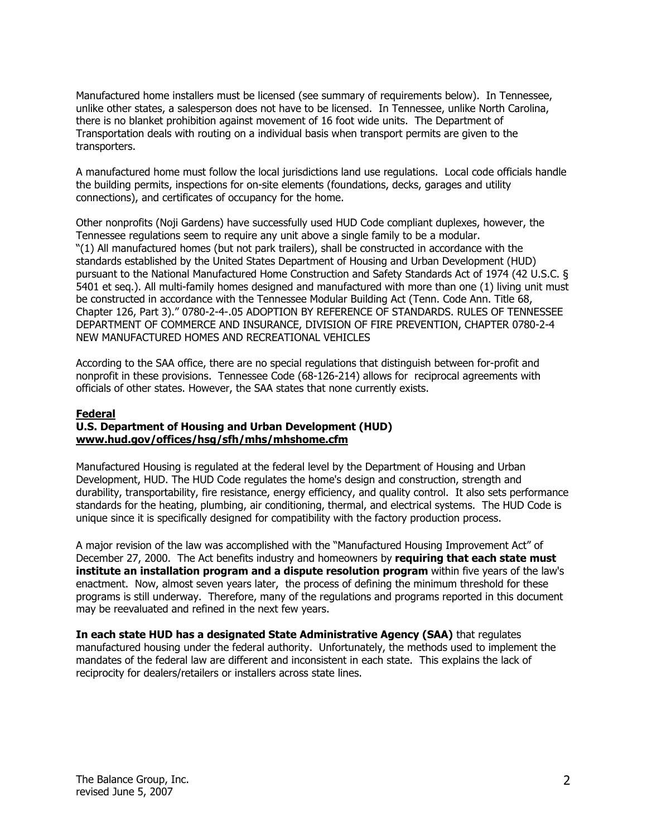Manufactured home installers must be licensed (see summary of requirements below). In Tennessee, unlike other states, a salesperson does not have to be licensed. In Tennessee, unlike North Carolina, there is no blanket prohibition against movement of 16 foot wide units. The Department of Transportation deals with routing on a individual basis when transport permits are given to the transporters.

A manufactured home must follow the local jurisdictions land use regulations. Local code officials handle the building permits, inspections for on-site elements (foundations, decks, garages and utility connections), and certificates of occupancy for the home.

Other nonprofits (Noji Gardens) have successfully used HUD Code compliant duplexes, however, the Tennessee regulations seem to require any unit above a single family to be a modular. "(1) All manufactured homes (but not park trailers), shall be constructed in accordance with the standards established by the United States Department of Housing and Urban Development (HUD) pursuant to the National Manufactured Home Construction and Safety Standards Act of 1974 (42 U.S.C. § 5401 et seq.). All multi-family homes designed and manufactured with more than one (1) living unit must be constructed in accordance with the Tennessee Modular Building Act (Tenn. Code Ann. Title 68, Chapter 126, Part 3)." 0780-2-4-.05 ADOPTION BY REFERENCE OF STANDARDS. RULES OF TENNESSEE DEPARTMENT OF COMMERCE AND INSURANCE, DIVISION OF FIRE PREVENTION, CHAPTER 0780-2-4 NEW MANUFACTURED HOMES AND RECREATIONAL VEHICLES

According to the SAA office, there are no special regulations that distinguish between for-profit and nonprofit in these provisions. Tennessee Code (68-126-214) allows for reciprocal agreements with officials of other states. However, the SAA states that none currently exists.

# **Federal**

### **U.S. Department of Housing and Urban Development (HUD) www.hud.gov/offices/hsg/sfh/mhs/mhshome.cfm**

Manufactured Housing is regulated at the federal level by the Department of Housing and Urban Development, HUD. The HUD Code regulates the home's design and construction, strength and durability, transportability, fire resistance, energy efficiency, and quality control. It also sets performance standards for the heating, plumbing, air conditioning, thermal, and electrical systems. The HUD Code is unique since it is specifically designed for compatibility with the factory production process.

A major revision of the law was accomplished with the "Manufactured Housing Improvement Act" of December 27, 2000. The Act benefits industry and homeowners by **requiring that each state must institute an installation program and a dispute resolution program** within five years of the law's enactment. Now, almost seven years later, the process of defining the minimum threshold for these programs is still underway. Therefore, many of the regulations and programs reported in this document may be reevaluated and refined in the next few years.

**In each state HUD has a designated State Administrative Agency (SAA)** that regulates manufactured housing under the federal authority. Unfortunately, the methods used to implement the mandates of the federal law are different and inconsistent in each state. This explains the lack of reciprocity for dealers/retailers or installers across state lines.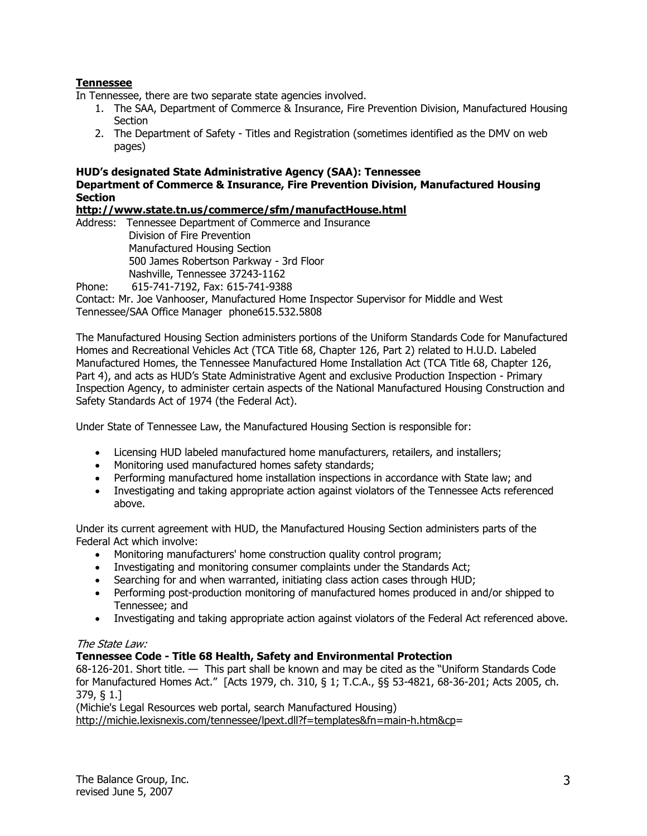# **Tennessee**

In Tennessee, there are two separate state agencies involved.

- 1. The SAA, Department of Commerce & Insurance, Fire Prevention Division, Manufactured Housing **Section**
- 2. The Department of Safety Titles and Registration (sometimes identified as the DMV on web pages)

# **HUD's designated State Administrative Agency (SAA): Tennessee Department of Commerce & Insurance, Fire Prevention Division, Manufactured Housing Section**

**http://www.state.tn.us/commerce/sfm/manufactHouse.html** 

Address: Tennessee Department of Commerce and Insurance Division of Fire Prevention Manufactured Housing Section 500 James Robertson Parkway - 3rd Floor Nashville, Tennessee 37243-1162 Phone: 615-741-7192, Fax: 615-741-9388

Contact: Mr. Joe Vanhooser, Manufactured Home Inspector Supervisor for Middle and West Tennessee/SAA Office Manager phone615.532.5808

The Manufactured Housing Section administers portions of the Uniform Standards Code for Manufactured Homes and Recreational Vehicles Act (TCA Title 68, Chapter 126, Part 2) related to H.U.D. Labeled Manufactured Homes, the Tennessee Manufactured Home Installation Act (TCA Title 68, Chapter 126, Part 4), and acts as HUD's State Administrative Agent and exclusive Production Inspection - Primary Inspection Agency, to administer certain aspects of the National Manufactured Housing Construction and Safety Standards Act of 1974 (the Federal Act).

Under State of Tennessee Law, the Manufactured Housing Section is responsible for:

- Licensing HUD labeled manufactured home manufacturers, retailers, and installers;
- Monitoring used manufactured homes safety standards;
- Performing manufactured home installation inspections in accordance with State law; and
- Investigating and taking appropriate action against violators of the Tennessee Acts referenced above.

Under its current agreement with HUD, the Manufactured Housing Section administers parts of the Federal Act which involve:

- Monitoring manufacturers' home construction quality control program;
- Investigating and monitoring consumer complaints under the Standards Act;
- Searching for and when warranted, initiating class action cases through HUD;
- Performing post-production monitoring of manufactured homes produced in and/or shipped to Tennessee; and
- Investigating and taking appropriate action against violators of the Federal Act referenced above.

### The State Law:

### **Tennessee Code - Title 68 Health, Safety and Environmental Protection**

68-126-201. Short title. — This part shall be known and may be cited as the "Uniform Standards Code for Manufactured Homes Act." [Acts 1979, ch. 310, § 1; T.C.A., §§ 53-4821, 68-36-201; Acts 2005, ch. 379, § 1.]

(Michie's Legal Resources web portal, search Manufactured Housing) http://michie.lexisnexis.com/tennessee/lpext.dll?f=templates&fn=main-h.htm&cp=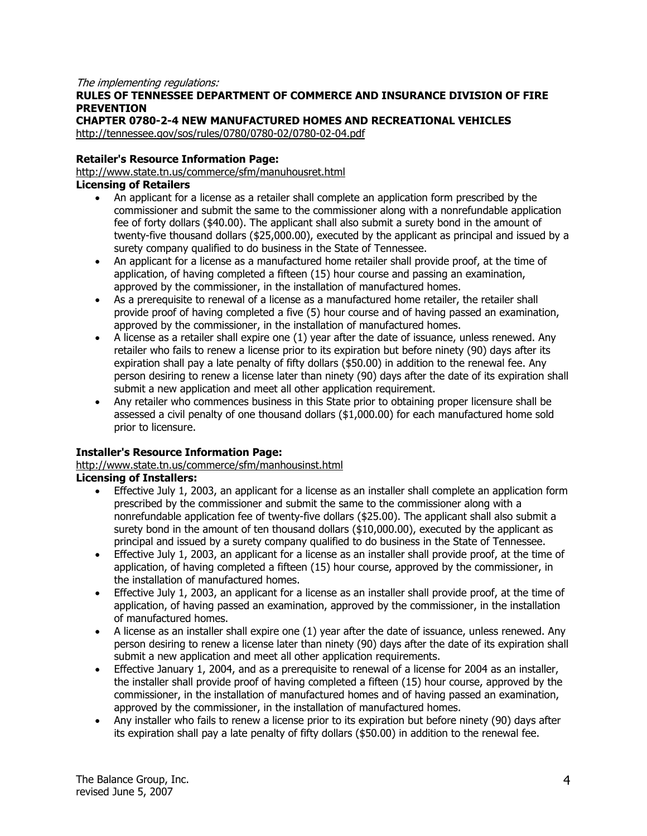### The implementing regulations:

# **RULES OF TENNESSEE DEPARTMENT OF COMMERCE AND INSURANCE DIVISION OF FIRE PREVENTION**

# **CHAPTER 0780-2-4 NEW MANUFACTURED HOMES AND RECREATIONAL VEHICLES**

http://tennessee.gov/sos/rules/0780/0780-02/0780-02-04.pdf

# **Retailer's Resource Information Page:**

http://www.state.tn.us/commerce/sfm/manuhousret.html

# **Licensing of Retailers**

- An applicant for a license as a retailer shall complete an application form prescribed by the commissioner and submit the same to the commissioner along with a nonrefundable application fee of forty dollars (\$40.00). The applicant shall also submit a surety bond in the amount of twenty-five thousand dollars (\$25,000.00), executed by the applicant as principal and issued by a surety company qualified to do business in the State of Tennessee.
- An applicant for a license as a manufactured home retailer shall provide proof, at the time of application, of having completed a fifteen (15) hour course and passing an examination, approved by the commissioner, in the installation of manufactured homes.
- As a prerequisite to renewal of a license as a manufactured home retailer, the retailer shall provide proof of having completed a five (5) hour course and of having passed an examination, approved by the commissioner, in the installation of manufactured homes.
- $\bullet$  A license as a retailer shall expire one (1) year after the date of issuance, unless renewed. Any retailer who fails to renew a license prior to its expiration but before ninety (90) days after its expiration shall pay a late penalty of fifty dollars (\$50.00) in addition to the renewal fee. Any person desiring to renew a license later than ninety (90) days after the date of its expiration shall submit a new application and meet all other application requirement.
- Any retailer who commences business in this State prior to obtaining proper licensure shall be assessed a civil penalty of one thousand dollars (\$1,000.00) for each manufactured home sold prior to licensure.

# **Installer's Resource Information Page:**

http://www.state.tn.us/commerce/sfm/manhousinst.html

### **Licensing of Installers:**

- Effective July 1, 2003, an applicant for a license as an installer shall complete an application form prescribed by the commissioner and submit the same to the commissioner along with a nonrefundable application fee of twenty-five dollars (\$25.00). The applicant shall also submit a surety bond in the amount of ten thousand dollars (\$10,000.00), executed by the applicant as principal and issued by a surety company qualified to do business in the State of Tennessee.
- Effective July 1, 2003, an applicant for a license as an installer shall provide proof, at the time of application, of having completed a fifteen (15) hour course, approved by the commissioner, in the installation of manufactured homes.
- Effective July 1, 2003, an applicant for a license as an installer shall provide proof, at the time of application, of having passed an examination, approved by the commissioner, in the installation of manufactured homes.
- A license as an installer shall expire one (1) year after the date of issuance, unless renewed. Any person desiring to renew a license later than ninety (90) days after the date of its expiration shall submit a new application and meet all other application requirements.
- Effective January 1, 2004, and as a prerequisite to renewal of a license for 2004 as an installer, the installer shall provide proof of having completed a fifteen (15) hour course, approved by the commissioner, in the installation of manufactured homes and of having passed an examination, approved by the commissioner, in the installation of manufactured homes.
- Any installer who fails to renew a license prior to its expiration but before ninety (90) days after its expiration shall pay a late penalty of fifty dollars (\$50.00) in addition to the renewal fee.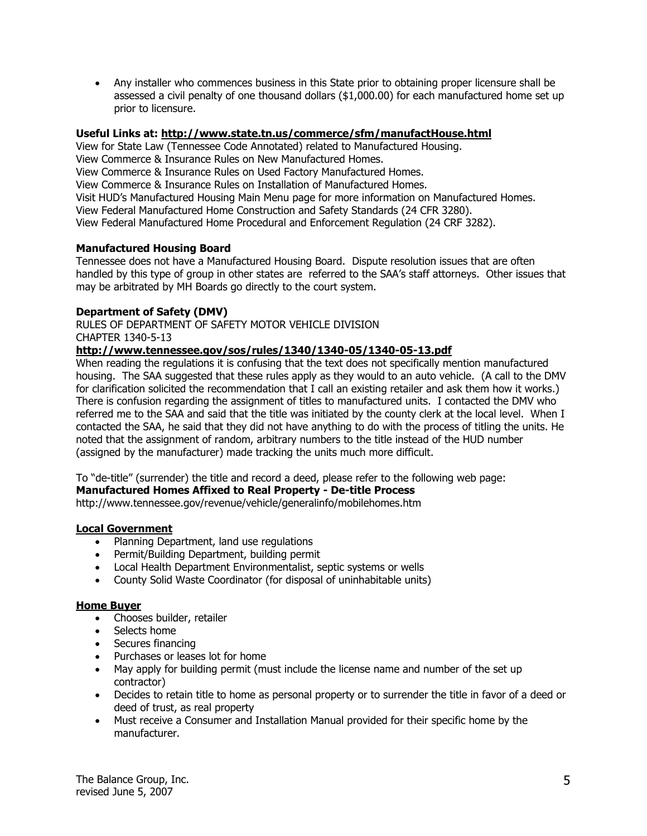• Any installer who commences business in this State prior to obtaining proper licensure shall be assessed a civil penalty of one thousand dollars (\$1,000.00) for each manufactured home set up prior to licensure.

# **Useful Links at: http://www.state.tn.us/commerce/sfm/manufactHouse.html**

View for State Law (Tennessee Code Annotated) related to Manufactured Housing. View Commerce & Insurance Rules on New Manufactured Homes. View Commerce & Insurance Rules on Used Factory Manufactured Homes. View Commerce & Insurance Rules on Installation of Manufactured Homes. Visit HUD's Manufactured Housing Main Menu page for more information on Manufactured Homes. View Federal Manufactured Home Construction and Safety Standards (24 CFR 3280). View Federal Manufactured Home Procedural and Enforcement Regulation (24 CRF 3282).

# **Manufactured Housing Board**

Tennessee does not have a Manufactured Housing Board. Dispute resolution issues that are often handled by this type of group in other states are referred to the SAA's staff attorneys. Other issues that may be arbitrated by MH Boards go directly to the court system.

# **Department of Safety (DMV)**

RULES OF DEPARTMENT OF SAFETY MOTOR VEHICLE DIVISION CHAPTER 1340-5-13

# **http://www.tennessee.gov/sos/rules/1340/1340-05/1340-05-13.pdf**

When reading the regulations it is confusing that the text does not specifically mention manufactured housing. The SAA suggested that these rules apply as they would to an auto vehicle. (A call to the DMV for clarification solicited the recommendation that I call an existing retailer and ask them how it works.) There is confusion regarding the assignment of titles to manufactured units. I contacted the DMV who referred me to the SAA and said that the title was initiated by the county clerk at the local level. When I contacted the SAA, he said that they did not have anything to do with the process of titling the units. He noted that the assignment of random, arbitrary numbers to the title instead of the HUD number (assigned by the manufacturer) made tracking the units much more difficult.

To "de-title" (surrender) the title and record a deed, please refer to the following web page:

# **Manufactured Homes Affixed to Real Property - De-title Process**

http://www.tennessee.gov/revenue/vehicle/generalinfo/mobilehomes.htm

### **Local Government**

- Planning Department, land use regulations
- Permit/Building Department, building permit
- Local Health Department Environmentalist, septic systems or wells
- County Solid Waste Coordinator (for disposal of uninhabitable units)

### **Home Buyer**

- Chooses builder, retailer
- Selects home
- Secures financing
- Purchases or leases lot for home
- May apply for building permit (must include the license name and number of the set up contractor)
- Decides to retain title to home as personal property or to surrender the title in favor of a deed or deed of trust, as real property
- Must receive a Consumer and Installation Manual provided for their specific home by the manufacturer.